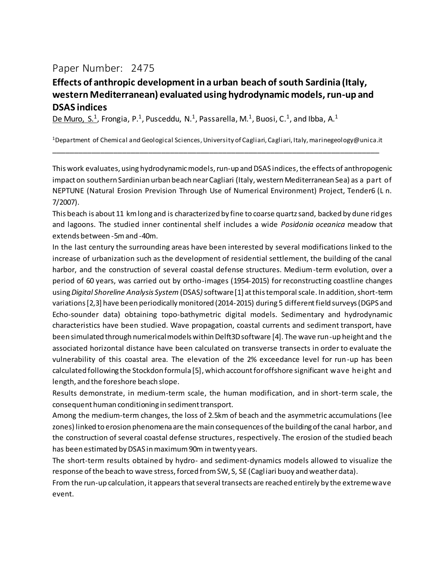## Paper Number: 2475

## **Effects of anthropic development in a urban beach of south Sardinia (Italy, western Mediterranean) evaluated using hydrodynamic models, run-up and DSAS indices**

De Muro, S.<sup>1</sup>, Frongia, P.<sup>1</sup>, Pusceddu, N.<sup>1</sup>, Passarella, M.<sup>1</sup>, Buosi, C.<sup>1</sup>, and Ibba, A.<sup>1</sup>

<sup>1</sup>Department of Chemical and Geological Sciences, University of Cagliari, Cagliari, Italy, marinegeology@unica.it \_\_\_\_\_\_\_\_\_\_\_\_\_\_\_\_\_\_\_\_\_\_\_\_\_\_\_\_\_\_\_\_\_\_\_\_\_\_\_\_\_\_\_\_\_\_\_\_\_\_\_\_\_\_\_\_\_\_\_\_\_\_\_\_\_\_\_\_\_\_\_\_\_\_\_

This work evaluates, using hydrodynamic models, run-up and DSAS indices,the effects of anthropogenic impact on southern Sardinian urban beach near Cagliari (Italy, western Mediterranean Sea) as a part of NEPTUNE (Natural Erosion Prevision Through Use of Numerical Environment) Project, Tender6 (L n. 7/2007).

This beach is about 11 km long and is characterized by fine to coarse quartz sand, backed by dune ridges and lagoons. The studied inner continental shelf includes a wide *Posidonia oceanica* meadow that extends between -5m and -40m.

In the last century the surrounding areas have been interested by several modifications linked to the increase of urbanization such as the development of residential settlement, the building of the canal harbor, and the construction of several coastal defense structures. Medium-term evolution, over a period of 60 years, was carried out by ortho-images (1954-2015) for reconstructing coastline changes using *Digital Shoreline Analysis System* (DSAS*)*software [1] at this temporal scale. In addition, short-term variations [2,3] have been periodically monitored (2014-2015) during 5 different field surveys (DGPS and Echo-sounder data) obtaining topo-bathymetric digital models. Sedimentary and hydrodynamic characteristics have been studied. Wave propagation, coastal currents and sediment transport, have been simulated through numerical models within Delft3D software [4]. The wave run-up height and the associated horizontal distance have been calculated on transverse transects in order to evaluate the vulnerability of this coastal area. The elevation of the 2% exceedance level for run-up has been calculated following the Stockdon formula [5], which account for offshore significant wave height and length, and the foreshore beach slope.

Results demonstrate, in medium-term scale, the human modification, and in short-term scale, the consequent human conditioning in sediment transport.

Among the medium-term changes, the loss of 2.5km of beach and the asymmetric accumulations (lee zones) linked to erosion phenomena are the main consequences of the building of the canal harbor, and the construction of several coastal defense structures, respectively. The erosion of the studied beach has been estimated by DSAS in maximum 90m in twenty years.

The short-term results obtained by hydro- and sediment-dynamics models allowed to visualize the response of the beach to wave stress, forced from SW, S, SE (Cagliari buoy and weather data).

From the run-up calculation, it appears that several transects are reached entirely by the extreme wave event.